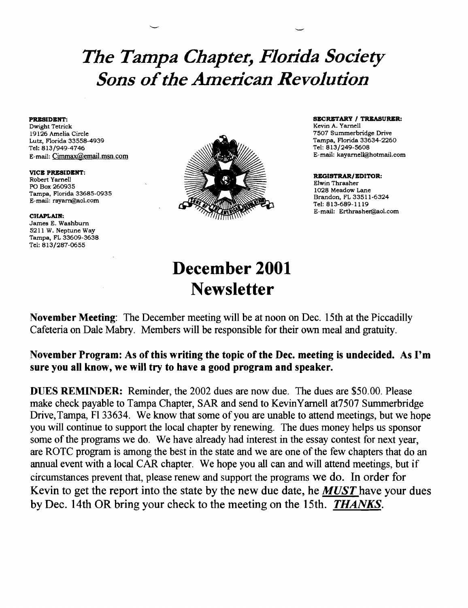# *The Tampa Chapter, Florida Society Sons ofthe American Revolution*

Dwight Tetrick Kevin A. Yarnell (1999) and the second state of the second state of the Second Second Second Second Second Second Second Second Second Second Second Second Second Second Second Second Second Second Second Se E-mail: Cimmax@email.msn.com

VICE PRESIDENT: Robert Yarnell PO Box 260935 Tampa, Florida 33685-0935 E-mail: rsyarn@aol.com

### CHAPLAIN:

James E. Washburn 5211 W. Neptune Way Tampa, FL 33609-3638 Tel: 813/287-0655



**PRESIDENT:** SECRETARY / TREASURER: SECRETARY / TREASURER: SECRETARY / TREASURER: SECRETARY / TREASURER: SECRETARY / TREASURER: SECRETARY / TREASURER: SECRETARY / TREASURER: SECRETARY / TREASURER: SECRETARY / TREASURER: SE

#### REGISTRAR/EDITOR: Elwin Thrasher

1028 Meadow Lane Brandon, FL 33511-6324 Tel: 813-689-1119 E-mail: Erthrasher@aol.com

## December 2001 **Newsletter**

November Meeting: The December meeting will be at noon on Dec. 15th at the Piccadilly Cafeteria on Dale Mabry. Members will be responsible for their own meal and gratuity.

### November Program: As of this writing the topic of the Dec. meeting is undecided. As I'm sure you all know, we will try to have a good program and speaker.

DUES REMINDER: Reminder, the 2002 dues are now due. The dues are \$50.00. Please make check payable to Tampa Chapter, SAR and send to KevinYarnell at7507 Summerbridge Drive,Tampa, Fl33634. We know that some of you are unable to attend meetings, but we hope you will continue to support the local chapter by renewing. The dues money helps us sponsor some of the programs we do. We have already had interest in the essay contest for next year, are ROTC program is among the best in the state and we are one of the few chapters that do an annual event with a local CAR chapter. We hope you all can and will attend meetings, but if circumstances prevent that, please renew and support the programs we do. In order for Kevin to get the report into the state by the new due date, he *MUST* have your dues by Dec. 14th OR bring your check to the meeting on the 15th. *THANKS.*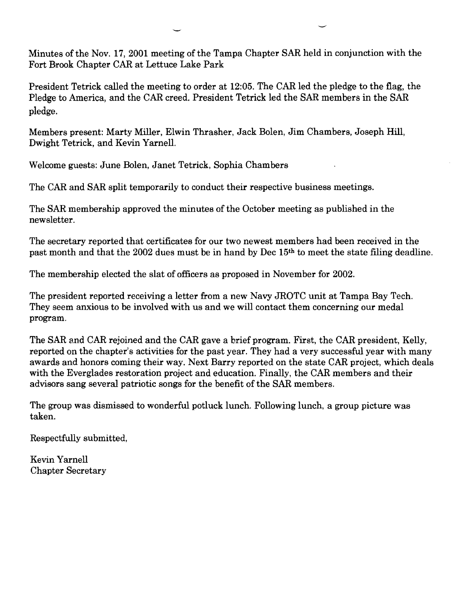Minutes of the Nov. 17, 2001 meeting of the Tampa Chapter SAR held in conjunction with the Fort Brook Chapter CAR at Lettuce Lake Park

President Tetrick called the meeting to order at 12:05. The CAR led the pledge to the flag, the Pledge to America, and the CAR creed. President Tetrick led the SAR members in the SAR pledge.

Members present: Marty Miller, Elwin Thrasher, Jack Bolen, Jim Chambers, Joseph Hill, Dwight Tetrick, and Kevin Yarnell.

Welcome guests: June Bolen, Janet Tetrick, Sophia Chambers

The CAR and SAR split temporarily to conduct their respective business meetings.

The SAR membership approved the minutes of the October meeting as published in the newsletter.

The secretary reported that certificates for our two newest members had been received in the past month and that the 2002 dues must be in hand by Dec 15th to meet the state filing deadline.

The membership elected the slat of officers as proposed in November for 2002.

The president reported receiving a letter from a new Navy JROTC unit at Tampa Bay Tech. They seem anxious to be involved with us and we will contact them concerning our medal program.

The SAR and CAR rejoined and the CAR gave a brief program. First, the CAR president, Kelly, reported on the chapter's activities for the past year. They had a very successful year with many awards and honors coming their way. Next Barry reported on the state CAR project, which deals with the Everglades restoration project and education. Finally, the CAR members and their advisors sang several patriotic songs for the benefit of the SAR members.

The group was dismissed to wonderful potluck lunch. Following lunch, a group picture was taken.

Respectfully submitted,

Kevin Yarnell Chapter Secretary